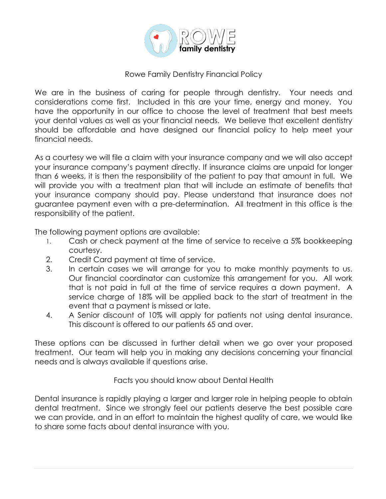

## Rowe Family Dentistry Financial Policy

We are in the business of caring for people through dentistry. Your needs and considerations come first. Included in this are your time, energy and money. You have the opportunity in our office to choose the level of treatment that best meets your dental values as well as your financial needs. We believe that excellent dentistry should be affordable and have designed our financial policy to help meet your financial needs.

As a courtesy we will file a claim with your insurance company and we will also accept your insurance company's payment directly. If insurance claims are unpaid for longer than 6 weeks, it is then the responsibility of the patient to pay that amount in full. We will provide you with a treatment plan that will include an estimate of benefits that your insurance company should pay. Please understand that insurance does not guarantee payment even with a pre-determination. All treatment in this office is the responsibility of the patient.

The following payment options are available:

- 1. Cash or check payment at the time of service to receive a 5% bookkeeping courtesy.
- 2. Credit Card payment at time of service.
- 3. In certain cases we will arrange for you to make monthly payments to us. Our financial coordinator can customize this arrangement for you. All work that is not paid in full at the time of service requires a down payment. A service charge of 18% will be applied back to the start of treatment in the event that a payment is missed or late.
- 4. A Senior discount of 10% will apply for patients not using dental insurance. This discount is offered to our patients 65 and over.

These options can be discussed in further detail when we go over your proposed treatment. Our team will help you in making any decisions concerning your financial needs and is always available if questions arise.

Facts you should know about Dental Health

Dental insurance is rapidly playing a larger and larger role in helping people to obtain dental treatment. Since we strongly feel our patients deserve the best possible care we can provide, and in an effort to maintain the highest quality of care, we would like to share some facts about dental insurance with you.